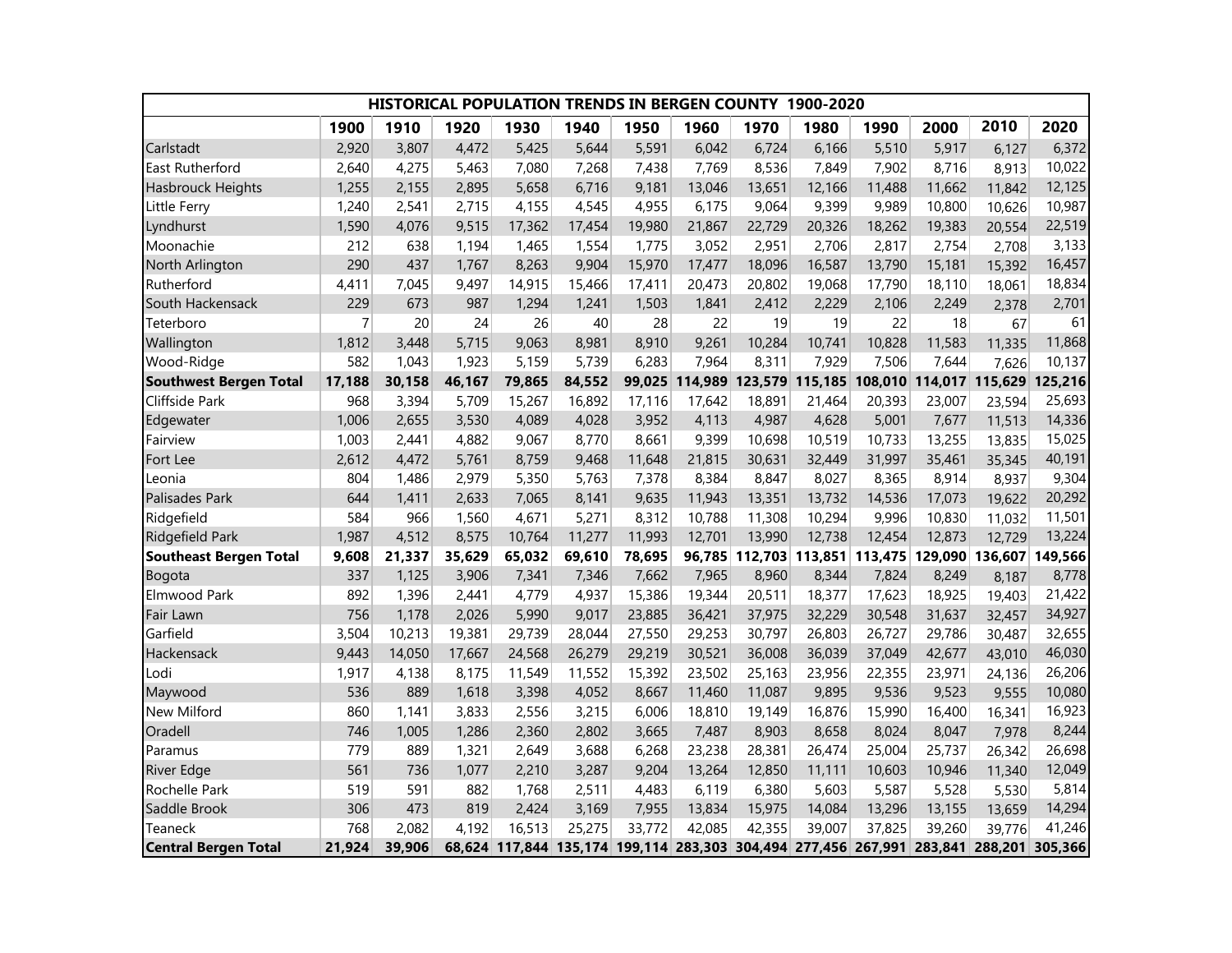| HISTORICAL POPULATION TRENDS IN BERGEN COUNTY 1900-2020 |                |        |        |        |        |        |         |                        |         |         |                                                                                        |         |                 |
|---------------------------------------------------------|----------------|--------|--------|--------|--------|--------|---------|------------------------|---------|---------|----------------------------------------------------------------------------------------|---------|-----------------|
|                                                         | 1900           | 1910   | 1920   | 1930   | 1940   | 1950   | 1960    | 1970                   | 1980    | 1990    | 2000                                                                                   | 2010    | 2020            |
| Carlstadt                                               | 2,920          | 3,807  | 4,472  | 5,425  | 5,644  | 5,591  | 6,042   | 6,724                  | 6,166   | 5,510   | 5,917                                                                                  | 6,127   | 6,372           |
| East Rutherford                                         | 2,640          | 4,275  | 5,463  | 7,080  | 7,268  | 7,438  | 7,769   | 8,536                  | 7,849   | 7,902   | 8,716                                                                                  | 8,913   | 10,022          |
| Hasbrouck Heights                                       | 1,255          | 2,155  | 2,895  | 5,658  | 6,716  | 9,181  | 13,046  | 13,651                 | 12,166  | 11,488  | 11,662                                                                                 | 11,842  | 12,125          |
| Little Ferry                                            | 1,240          | 2,541  | 2,715  | 4,155  | 4,545  | 4,955  | 6,175   | 9,064                  | 9,399   | 9,989   | 10,800                                                                                 | 10,626  | 10,987          |
| Lyndhurst                                               | 1,590          | 4,076  | 9,515  | 17,362 | 17,454 | 19,980 | 21,867  | 22,729                 | 20,326  | 18,262  | 19,383                                                                                 | 20,554  | 22,519          |
| Moonachie                                               | 212            | 638    | 1,194  | 1,465  | 1,554  | 1,775  | 3,052   | 2,951                  | 2,706   | 2,817   | 2,754                                                                                  | 2,708   | 3,133           |
| North Arlington                                         | 290            | 437    | 1,767  | 8,263  | 9,904  | 15,970 | 17,477  | 18,096                 | 16,587  | 13,790  | 15,181                                                                                 | 15,392  | 16,457          |
| Rutherford                                              | 4,411          | 7,045  | 9,497  | 14,915 | 15,466 | 17,411 | 20,473  | 20,802                 | 19,068  | 17,790  | 18,110                                                                                 | 18,061  | 18,834          |
| South Hackensack                                        | 229            | 673    | 987    | 1,294  | 1,241  | 1,503  | 1,841   | 2,412                  | 2,229   | 2,106   | 2,249                                                                                  | 2,378   | 2,701           |
| Teterboro                                               | $\overline{7}$ | 20     | 24     | 26     | 40     | 28     | 22      | 19                     | 19      | 22      | 18                                                                                     | 67      | 61              |
| Wallington                                              | 1,812          | 3,448  | 5,715  | 9,063  | 8,981  | 8,910  | 9,261   | 10,284                 | 10,741  | 10,828  | 11,583                                                                                 | 11,335  | 11,868          |
| Wood-Ridge                                              | 582            | 1,043  | 1,923  | 5,159  | 5,739  | 6,283  | 7,964   | 8,311                  | 7,929   | 7,506   | 7,644                                                                                  | 7,626   | 10,137          |
| <b>Southwest Bergen Total</b>                           | 17,188         | 30,158 | 46,167 | 79,865 | 84,552 | 99,025 | 114,989 | 123,579                | 115,185 | 108,010 | 114,017                                                                                | 115,629 | 125,216         |
| Cliffside Park                                          | 968            | 3,394  | 5,709  | 15,267 | 16,892 | 17,116 | 17,642  | 18,891                 | 21,464  | 20,393  | 23,007                                                                                 | 23,594  | 25,693          |
| Edgewater                                               | 1,006          | 2,655  | 3,530  | 4,089  | 4,028  | 3,952  | 4,113   | 4,987                  | 4,628   | 5,001   | 7,677                                                                                  | 11,513  | 14,336          |
| Fairview                                                | 1,003          | 2,441  | 4,882  | 9,067  | 8,770  | 8,661  | 9,399   | 10,698                 | 10,519  | 10,733  | 13,255                                                                                 | 13,835  | 15,025          |
| Fort Lee                                                | 2,612          | 4,472  | 5,761  | 8,759  | 9,468  | 11,648 | 21,815  | 30,631                 | 32,449  | 31,997  | 35,461                                                                                 | 35,345  | 40,191          |
| Leonia                                                  | 804            | 1,486  | 2,979  | 5,350  | 5,763  | 7,378  | 8,384   | 8,847                  | 8,027   | 8,365   | 8,914                                                                                  | 8,937   | 9,304           |
| Palisades Park                                          | 644            | 1,411  | 2,633  | 7,065  | 8,141  | 9,635  | 11,943  | 13,351                 | 13,732  | 14,536  | 17,073                                                                                 | 19,622  | 20,292          |
| Ridgefield                                              | 584            | 966    | 1,560  | 4,671  | 5,271  | 8,312  | 10,788  | 11,308                 | 10,294  | 9,996   | 10,830                                                                                 | 11,032  | 11,501          |
| Ridgefield Park                                         | 1,987          | 4,512  | 8,575  | 10,764 | 11,277 | 11,993 | 12,701  | 13,990                 | 12,738  | 12,454  | 12,873                                                                                 | 12,729  | 13,224          |
| <b>Southeast Bergen Total</b>                           | 9,608          | 21,337 | 35,629 | 65,032 | 69,610 | 78,695 |         | 96,785 112,703 113,851 |         | 113,475 | 129,090                                                                                |         | 136,607 149,566 |
| Bogota                                                  | 337            | 1,125  | 3,906  | 7,341  | 7,346  | 7,662  | 7,965   | 8,960                  | 8,344   | 7,824   | 8,249                                                                                  | 8,187   | 8,778           |
| Elmwood Park                                            | 892            | 1,396  | 2,441  | 4,779  | 4,937  | 15,386 | 19,344  | 20,511                 | 18,377  | 17,623  | 18,925                                                                                 | 19,403  | 21,422          |
| Fair Lawn                                               | 756            | 1,178  | 2,026  | 5,990  | 9,017  | 23,885 | 36,421  | 37,975                 | 32,229  | 30,548  | 31,637                                                                                 | 32,457  | 34,927          |
| Garfield                                                | 3,504          | 10,213 | 19,381 | 29,739 | 28,044 | 27,550 | 29,253  | 30,797                 | 26,803  | 26,727  | 29,786                                                                                 | 30,487  | 32,655          |
| Hackensack                                              | 9,443          | 14,050 | 17,667 | 24,568 | 26,279 | 29,219 | 30,521  | 36,008                 | 36,039  | 37,049  | 42,677                                                                                 | 43,010  | 46,030          |
| Lodi                                                    | 1,917          | 4,138  | 8,175  | 11,549 | 11,552 | 15,392 | 23,502  | 25,163                 | 23,956  | 22,355  | 23,971                                                                                 | 24,136  | 26,206          |
| Maywood                                                 | 536            | 889    | 1,618  | 3,398  | 4,052  | 8,667  | 11,460  | 11,087                 | 9,895   | 9,536   | 9,523                                                                                  | 9,555   | 10,080          |
| New Milford                                             | 860            | 1,141  | 3,833  | 2,556  | 3,215  | 6,006  | 18,810  | 19,149                 | 16,876  | 15,990  | 16,400                                                                                 | 16,341  | 16,923          |
| Oradell                                                 | 746            | 1,005  | 1,286  | 2,360  | 2,802  | 3,665  | 7,487   | 8,903                  | 8,658   | 8,024   | 8,047                                                                                  | 7,978   | 8,244           |
| Paramus                                                 | 779            | 889    | 1,321  | 2,649  | 3,688  | 6,268  | 23,238  | 28,381                 | 26,474  | 25,004  | 25,737                                                                                 | 26,342  | 26,698          |
| <b>River Edge</b>                                       | 561            | 736    | 1,077  | 2,210  | 3,287  | 9,204  | 13,264  | 12,850                 | 11,111  | 10,603  | 10,946                                                                                 | 11,340  | 12,049          |
| Rochelle Park                                           | 519            | 591    | 882    | 1,768  | 2,511  | 4,483  | 6,119   | 6,380                  | 5,603   | 5,587   | 5,528                                                                                  | 5,530   | 5,814           |
| Saddle Brook                                            | 306            | 473    | 819    | 2,424  | 3,169  | 7,955  | 13,834  | 15,975                 | 14,084  | 13,296  | 13,155                                                                                 | 13,659  | 14,294          |
| Teaneck                                                 | 768            | 2,082  | 4,192  | 16,513 | 25,275 | 33,772 | 42,085  | 42,355                 | 39,007  | 37,825  | 39,260                                                                                 | 39,776  | 41,246          |
| <b>Central Bergen Total</b>                             | 21,924         | 39,906 |        |        |        |        |         |                        |         |         | 68,624 117,844 135,174 199,114 283,303 304,494 277,456 267,991 283,841 288,201 305,366 |         |                 |